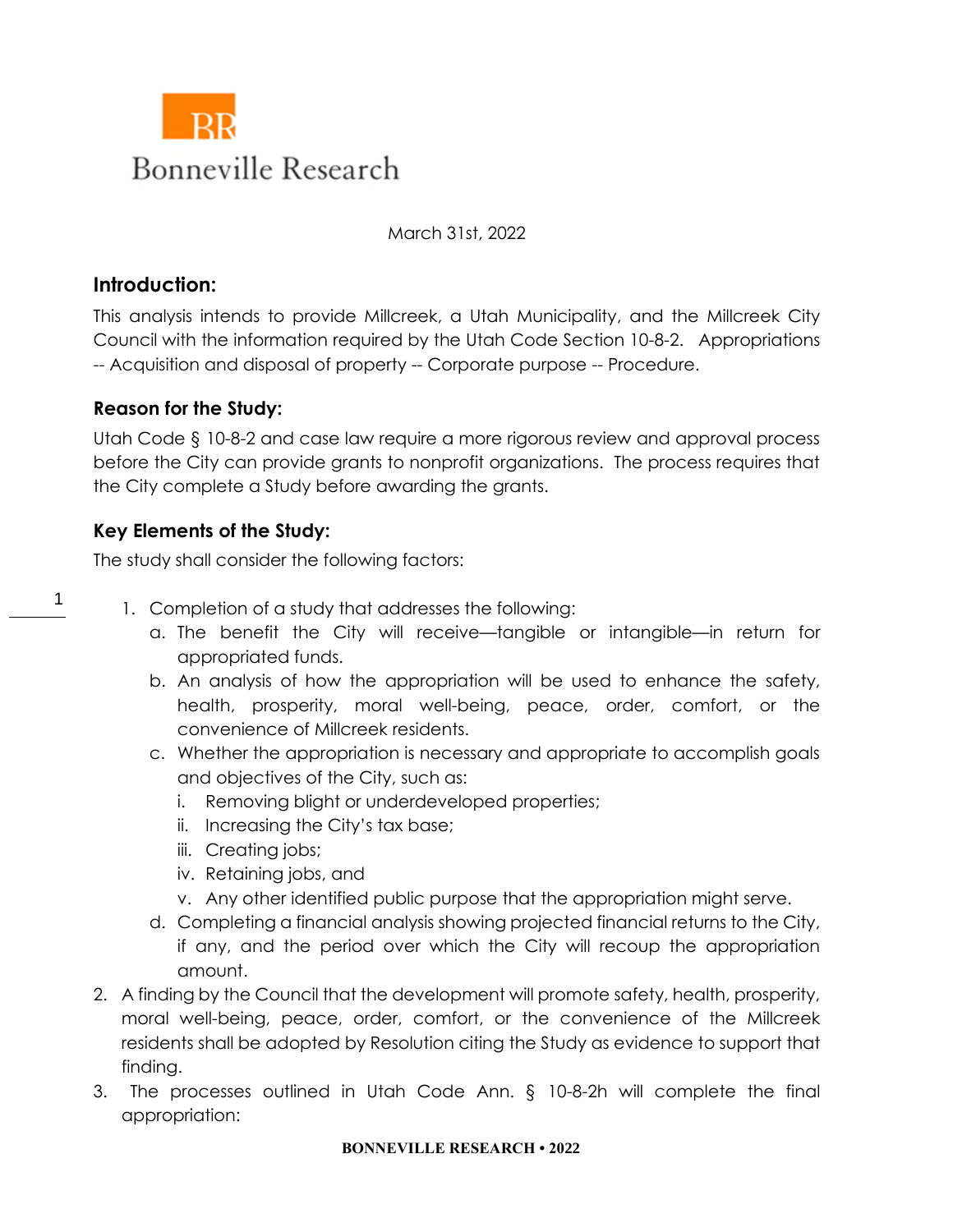

March 31st, 2022

# **Introduction:**

1

This analysis intends to provide Millcreek, a Utah Municipality, and the Millcreek City Council with the information required by the Utah Code Section 10-8-2. Appropriations -- Acquisition and disposal of property -- Corporate purpose -- Procedure.

# **Reason for the Study:**

Utah Code § 10-8-2 and case law require a more rigorous review and approval process before the City can provide grants to nonprofit organizations. The process requires that the City complete a Study before awarding the grants.

# **Key Elements of the Study:**

The study shall consider the following factors:

- 1. Completion of a study that addresses the following:
	- a. The benefit the City will receive—tangible or intangible—in return for appropriated funds.
	- b. An analysis of how the appropriation will be used to enhance the safety, health, prosperity, moral well-being, peace, order, comfort, or the convenience of Millcreek residents.
	- c. Whether the appropriation is necessary and appropriate to accomplish goals and objectives of the City, such as:
		- i. Removing blight or underdeveloped properties;
		- ii. Increasing the City's tax base;
		- iii. Creating jobs;
		- iv. Retaining jobs, and
		- v. Any other identified public purpose that the appropriation might serve.
	- d. Completing a financial analysis showing projected financial returns to the City, if any, and the period over which the City will recoup the appropriation amount.
- 2. A finding by the Council that the development will promote safety, health, prosperity, moral well-being, peace, order, comfort, or the convenience of the Millcreek residents shall be adopted by Resolution citing the Study as evidence to support that finding.
- 3. The processes outlined in Utah Code Ann. § 10-8-2h will complete the final appropriation:

#### **BONNEVILLE RESEARCH • 2022**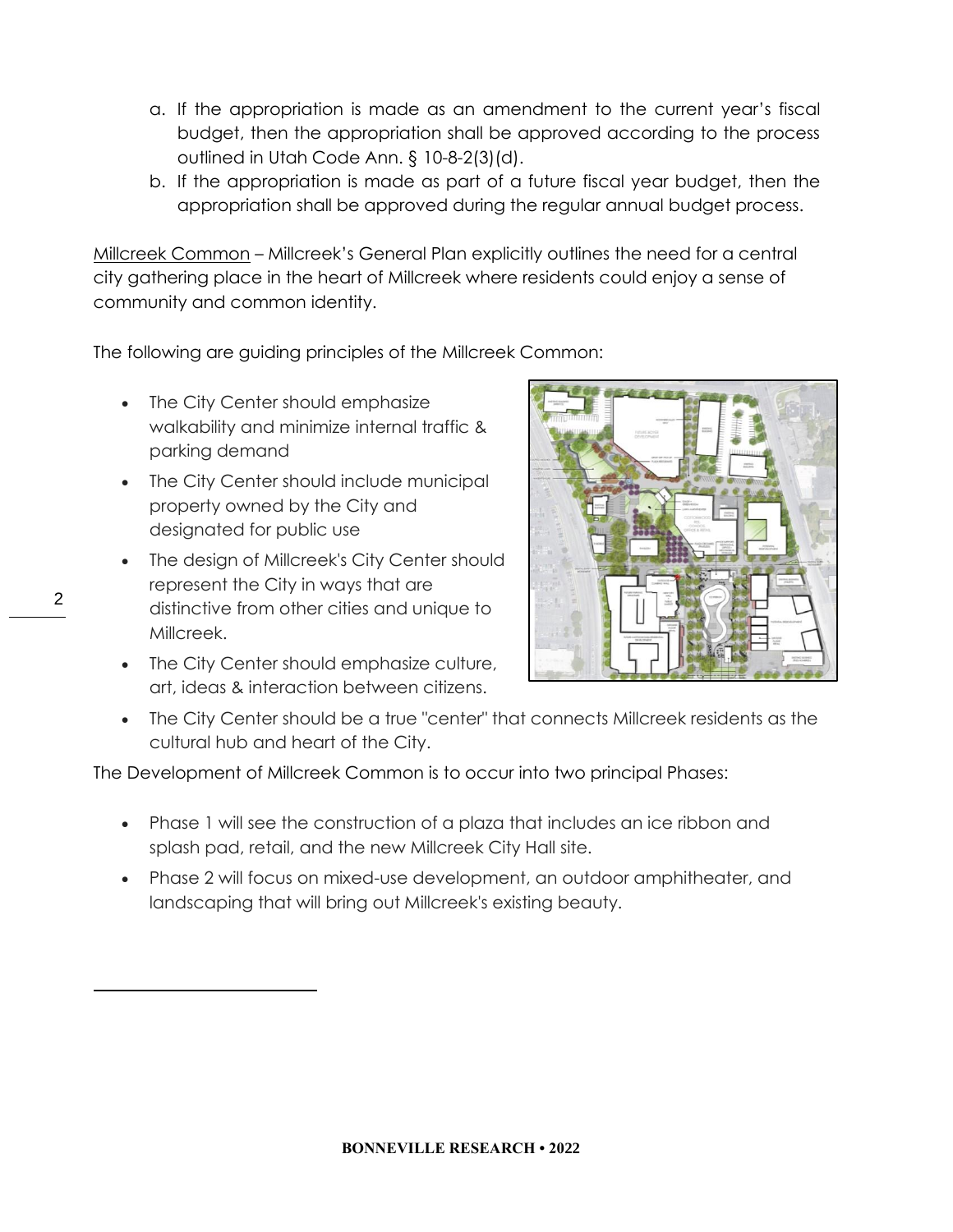- a. If the appropriation is made as an amendment to the current year's fiscal budget, then the appropriation shall be approved according to the process outlined in Utah Code Ann. § 10-8-2(3)(d).
- b. If the appropriation is made as part of a future fiscal year budget, then the appropriation shall be approved during the regular annual budget process.

Millcreek Common – Millcreek's General Plan explicitly outlines the need for a central city gathering place in the heart of Millcreek where residents could enjoy a sense of community and common identity.

The following are guiding principles of the Millcreek Common:

- The City Center should emphasize walkability and minimize internal traffic & parking demand
- The City Center should include municipal property owned by the City and designated for public use
- The design of Millcreek's City Center should represent the City in ways that are distinctive from other cities and unique to Millcreek.
- The City Center should emphasize culture, art, ideas & interaction between citizens.



• The City Center should be a true "center" that connects Millcreek residents as the cultural hub and heart of the City.

The Development of Millcreek Common is to occur into two principal Phases:

- Phase 1 will see the construction of a plaza that includes an ice ribbon and splash pad, retail, and the new Millcreek City Hall site.
- Phase 2 will focus on mixed-use development, an outdoor amphitheater, and landscaping that will bring out Millcreek's existing beauty.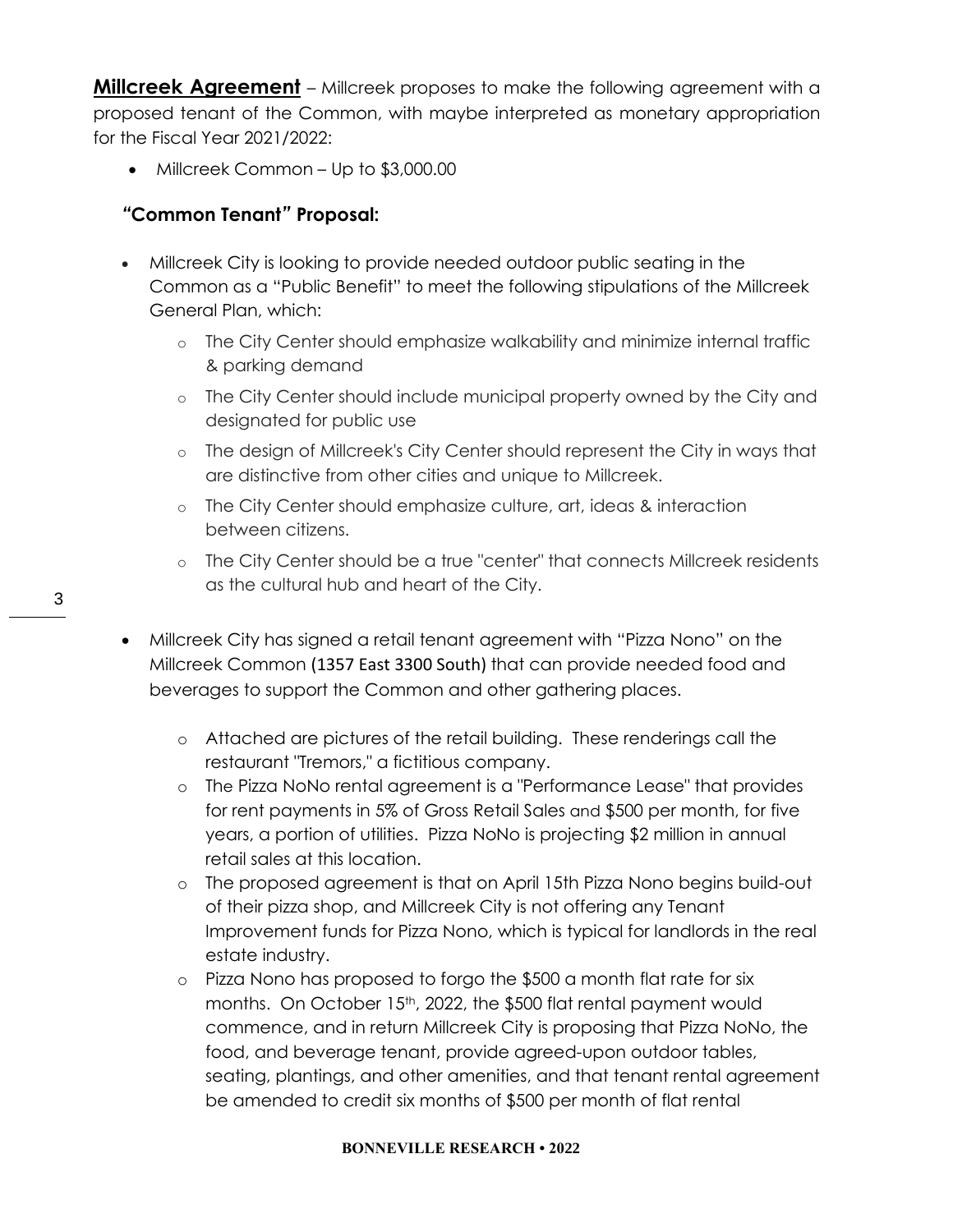**Millcreek Agreement** – Millcreek proposes to make the following agreement with a proposed tenant of the Common, with maybe interpreted as monetary appropriation for the Fiscal Year 2021/2022:

• Millcreek Common – Up to \$3,000.00

## *"***Common Tenant***"* **Proposal:**

- Millcreek City is looking to provide needed outdoor public seating in the Common as a "Public Benefit" to meet the following stipulations of the Millcreek General Plan, which:
	- o The City Center should emphasize walkability and minimize internal traffic & parking demand
	- o The City Center should include municipal property owned by the City and designated for public use
	- o The design of Millcreek's City Center should represent the City in ways that are distinctive from other cities and unique to Millcreek.
	- o The City Center should emphasize culture, art, ideas & interaction between citizens.
	- o The City Center should be a true "center" that connects Millcreek residents as the cultural hub and heart of the City.
- Millcreek City has signed a retail tenant agreement with "Pizza Nono" on the Millcreek Common (1357 East 3300 South) that can provide needed food and beverages to support the Common and other gathering places.
	- o Attached are pictures of the retail building. These renderings call the restaurant "Tremors," a fictitious company.
	- o The Pizza NoNo rental agreement is a "Performance Lease" that provides for rent payments in 5% of Gross Retail Sales and \$500 per month, for five years, a portion of utilities. Pizza NoNo is projecting \$2 million in annual retail sales at this location.
	- o The proposed agreement is that on April 15th Pizza Nono begins build-out of their pizza shop, and Millcreek City is not offering any Tenant Improvement funds for Pizza Nono, which is typical for landlords in the real estate industry.
	- o Pizza Nono has proposed to forgo the \$500 a month flat rate for six months. On October 15<sup>th</sup>, 2022, the \$500 flat rental payment would commence, and in return Millcreek City is proposing that Pizza NoNo, the food, and beverage tenant, provide agreed-upon outdoor tables, seating, plantings, and other amenities, and that tenant rental agreement be amended to credit six months of \$500 per month of flat rental

#### **BONNEVILLE RESEARCH • 2022**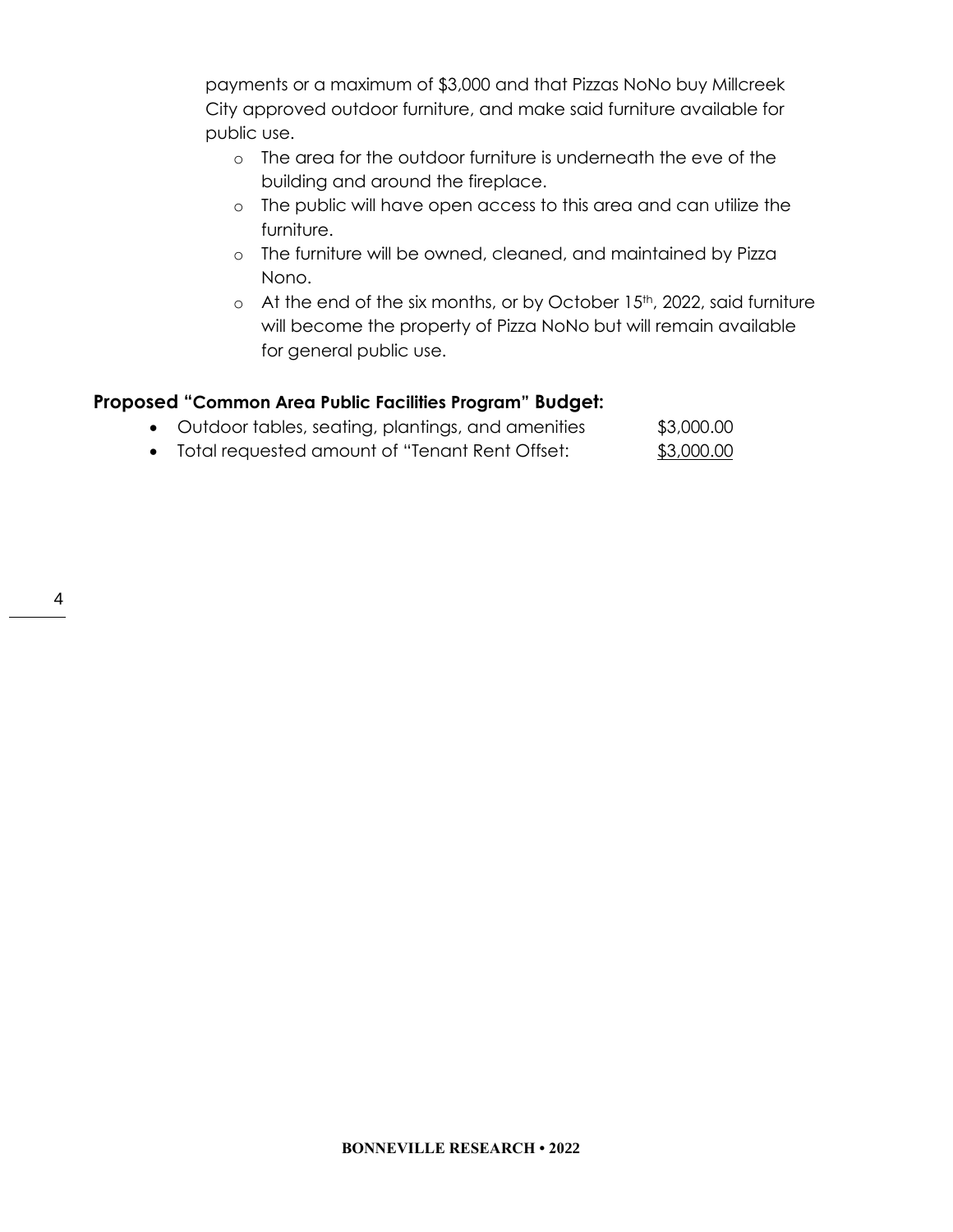payments or a maximum of \$3,000 and that Pizzas NoNo buy Millcreek City approved outdoor furniture, and make said furniture available for public use.

- o The area for the outdoor furniture is underneath the eve of the building and around the fireplace.
- o The public will have open access to this area and can utilize the furniture.
- o The furniture will be owned, cleaned, and maintained by Pizza Nono.
- o At the end of the six months, or by October 15<sup>th</sup>, 2022, said furniture will become the property of Pizza NoNo but will remain available for general public use.

## **Proposed "Common Area Public Facilities Program" Budget:**

|  |  |  | • Outdoor tables, seating, plantings, and amenities | \$3,000.00 |
|--|--|--|-----------------------------------------------------|------------|
|  |  |  |                                                     | $\cdots$   |

• Total requested amount of "Tenant Rent Offset: \$3,000.00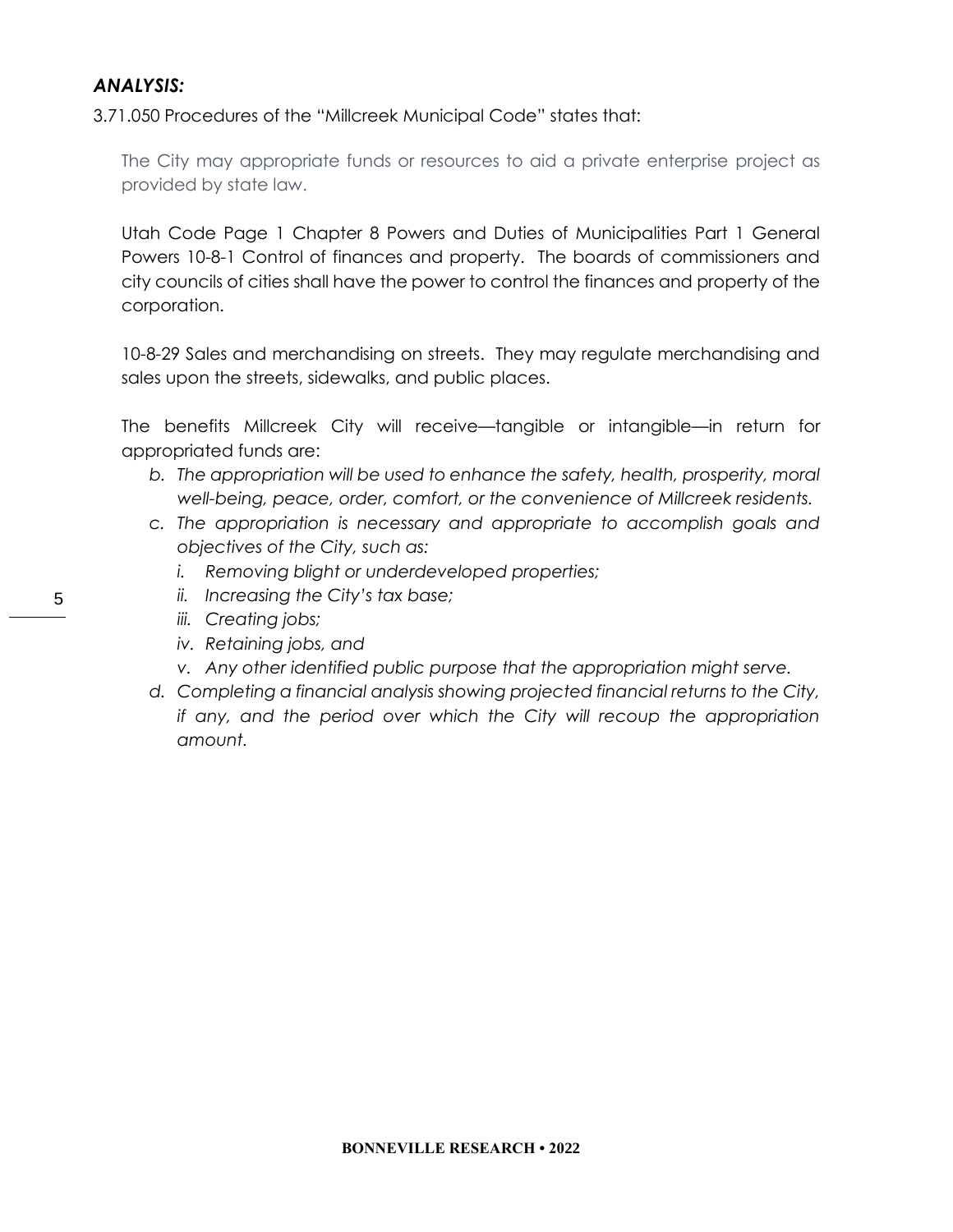### *ANALYSIS:*

[3.71.050 Procedures](https://millcreek.municipalcodeonline.com/book?type=ordinances#name=3.71.050_Procedures) of the "Millcreek Municipal Code" states that:

The City may appropriate funds or resources to aid a private enterprise project as provided by state law.

Utah Code Page 1 Chapter 8 Powers and Duties of Municipalities Part 1 General Powers 10-8-1 Control of finances and property. The boards of commissioners and city councils of cities shall have the power to control the finances and property of the corporation.

10-8-29 Sales and merchandising on streets. They may regulate merchandising and sales upon the streets, sidewalks, and public places.

The benefits Millcreek City will receive—tangible or intangible—in return for appropriated funds are:

- b. The appropriation will be used to enhance the safety, health, prosperity, moral *well-being, peace, order, comfort, or the convenience of Millcreek residents.*
- *c. The appropriation is necessary and appropriate to accomplish goals and objectives of the City, such as:*
	- *i. Removing blight or underdeveloped properties;*
	- *ii. Increasing the City's tax base;*
	- *iii. Creating jobs;*
	- *iv. Retaining jobs, and*
	- *v. Any other identified public purpose that the appropriation might serve.*
- *d. Completing a financial analysis showing projected financial returns to the City, if any, and the period over which the City will recoup the appropriation amount.*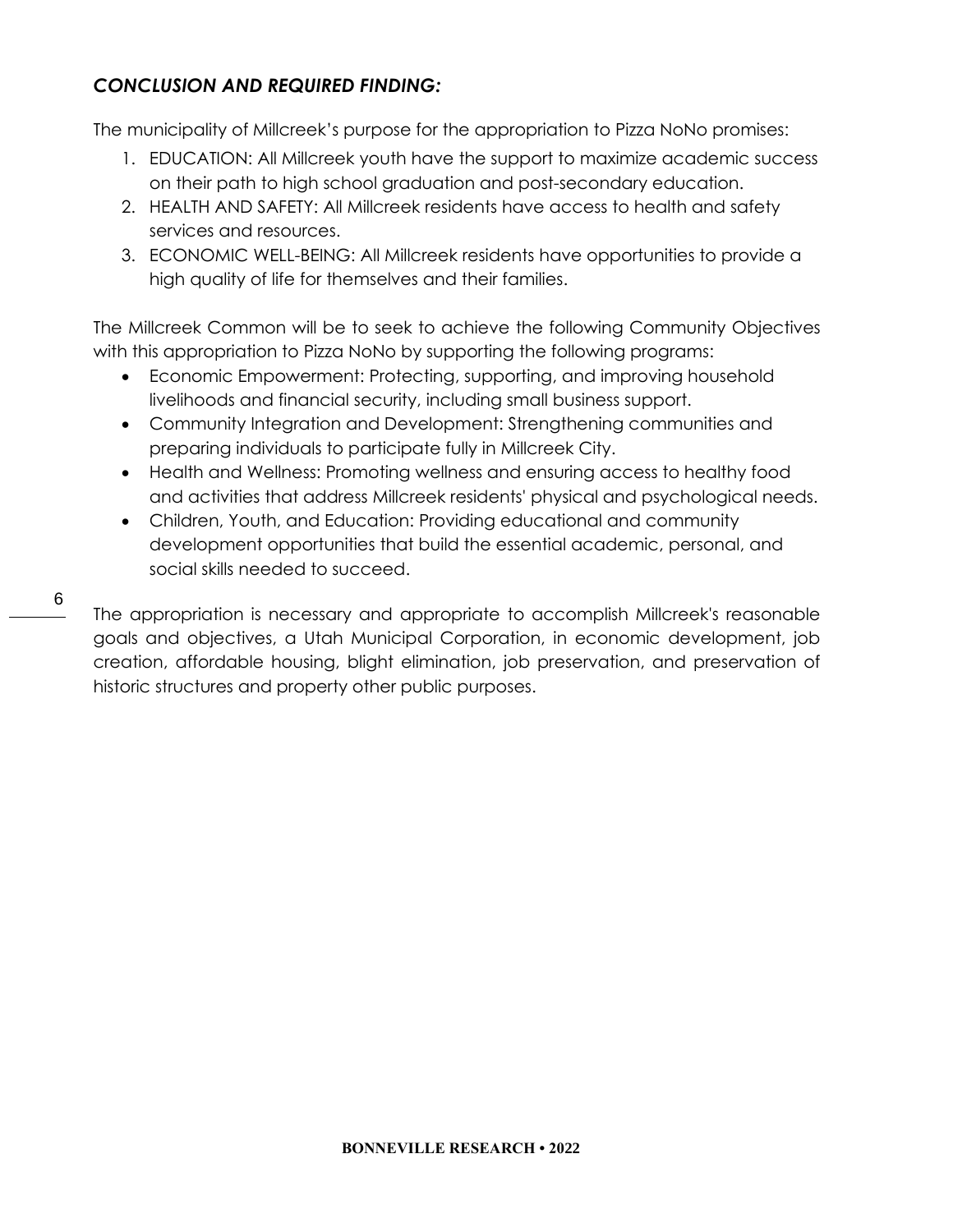# *CONCLUSION AND REQUIRED FINDING:*

The municipality of Millcreek's purpose for the appropriation to Pizza NoNo promises:

- 1. EDUCATION: All Millcreek youth have the support to maximize academic success on their path to high school graduation and post-secondary education.
- 2. HEALTH AND SAFETY: All Millcreek residents have access to health and safety services and resources.
- 3. ECONOMIC WELL-BEING: All Millcreek residents have opportunities to provide a high quality of life for themselves and their families.

The Millcreek Common will be to seek to achieve the following Community Objectives with this appropriation to Pizza NoNo by supporting the following programs:

- Economic Empowerment: Protecting, supporting, and improving household livelihoods and financial security, including small business support.
- Community Integration and Development: Strengthening communities and preparing individuals to participate fully in Millcreek City.
- Health and Wellness: Promoting wellness and ensuring access to healthy food and activities that address Millcreek residents' physical and psychological needs.
- Children, Youth, and Education: Providing educational and community development opportunities that build the essential academic, personal, and social skills needed to succeed.

The appropriation is necessary and appropriate to accomplish Millcreek's reasonable goals and objectives, a Utah Municipal Corporation, in economic development, job creation, affordable housing, blight elimination, job preservation, and preservation of historic structures and property other public purposes.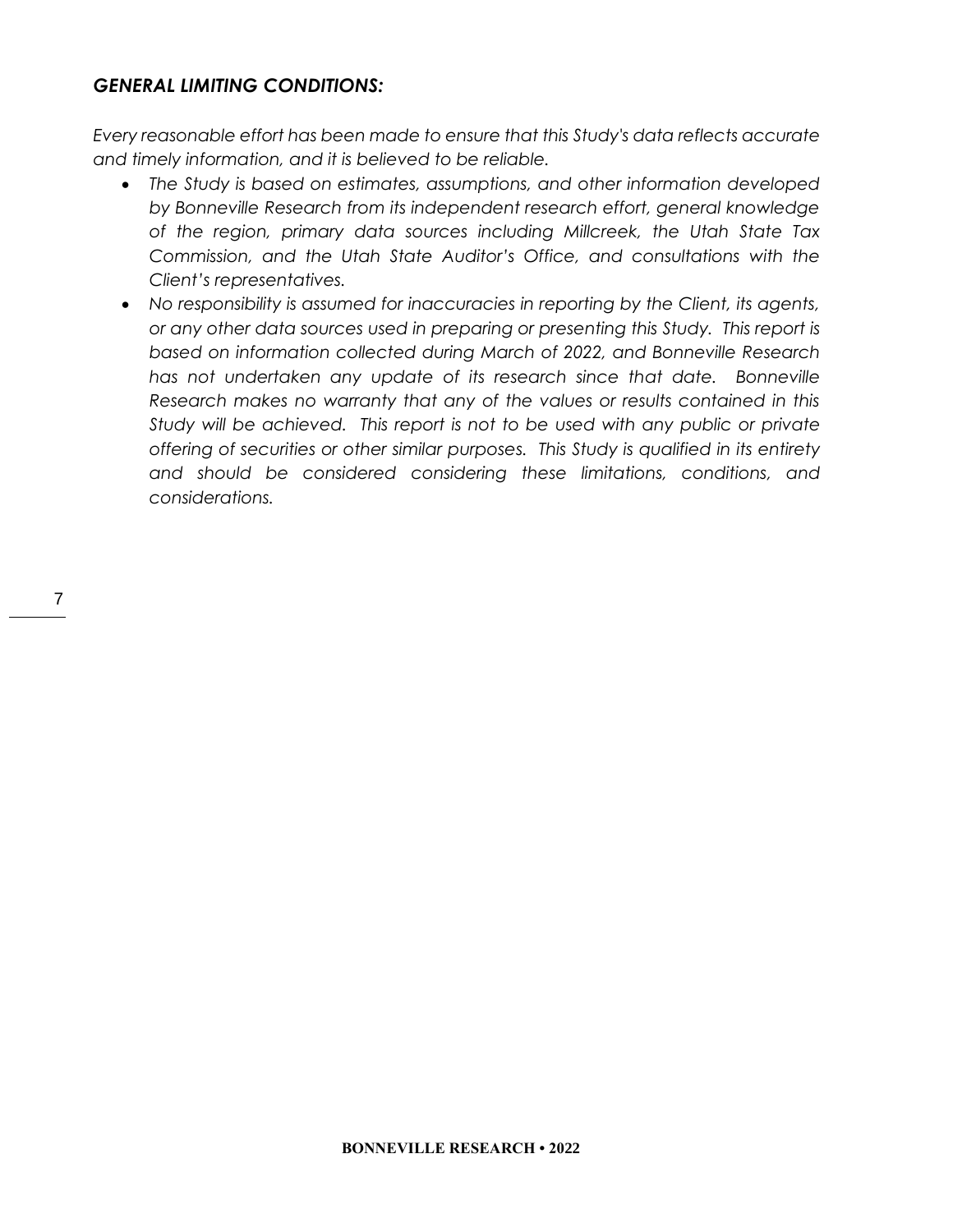### *GENERAL LIMITING CONDITIONS:*

*Every reasonable effort has been made to ensure that this Study's data reflects accurate and timely information, and it is believed to be reliable.*

- *The Study is based on estimates, assumptions, and other information developed by Bonneville Research from its independent research effort, general knowledge of the region, primary data sources including Millcreek, the Utah State Tax Commission, and the Utah State Auditor's Office, and consultations with the Client's representatives.*
- *No responsibility is assumed for inaccuracies in reporting by the Client, its agents, or any other data sources used in preparing or presenting this Study. This report is based on information collected during March of 2022, and Bonneville Research has not undertaken any update of its research since that date. Bonneville Research makes no warranty that any of the values or results contained in this Study will be achieved. This report is not to be used with any public or private offering of securities or other similar purposes. This Study is qualified in its entirety and should be considered considering these limitations, conditions, and considerations.*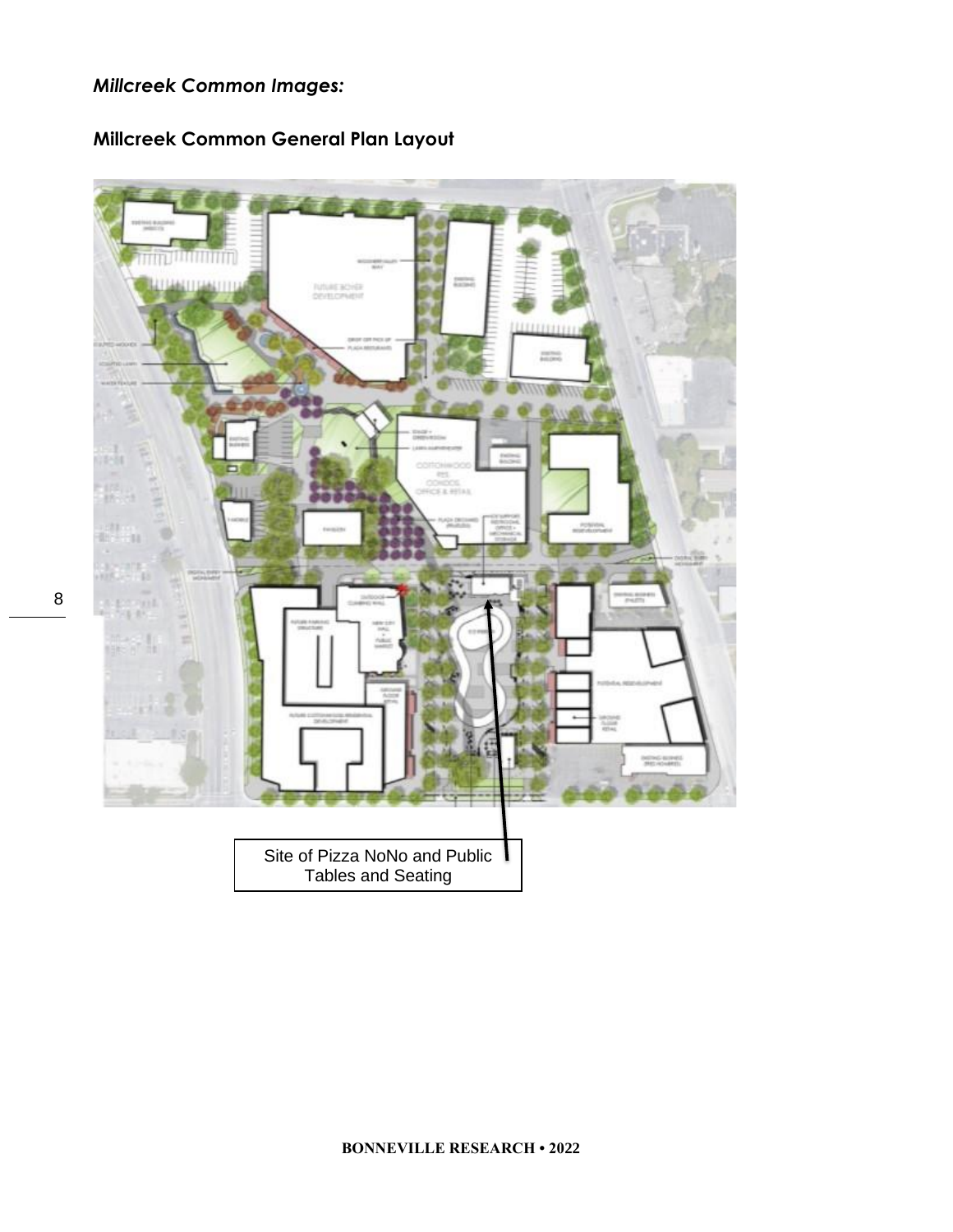## *Millcreek Common Images:*



**Millcreek Common General Plan Layout**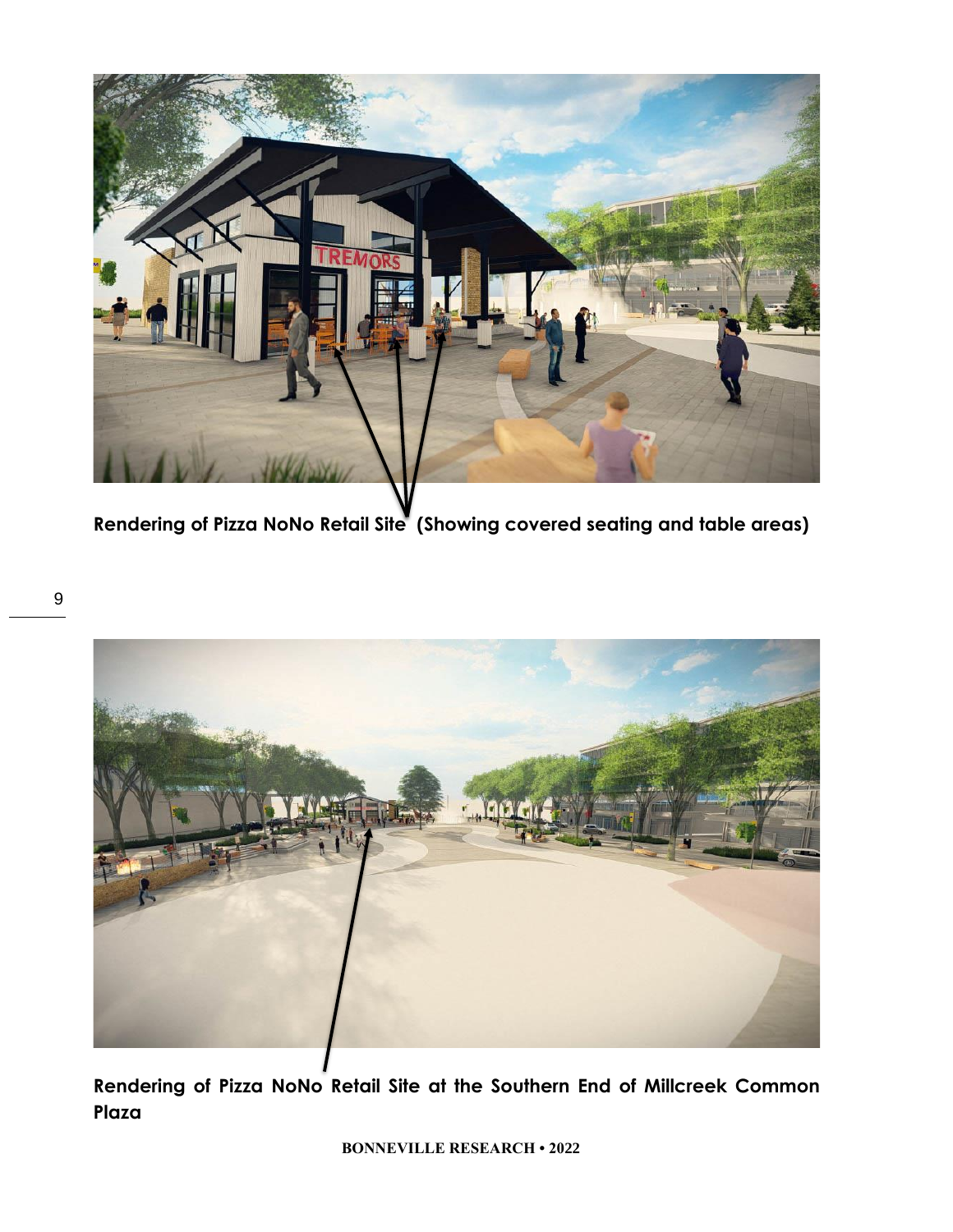

**Rendering of Pizza NoNo Retail Site (Showing covered seating and table areas)**



**Rendering of Pizza NoNo Retail Site at the Southern End of Millcreek Common Plaza**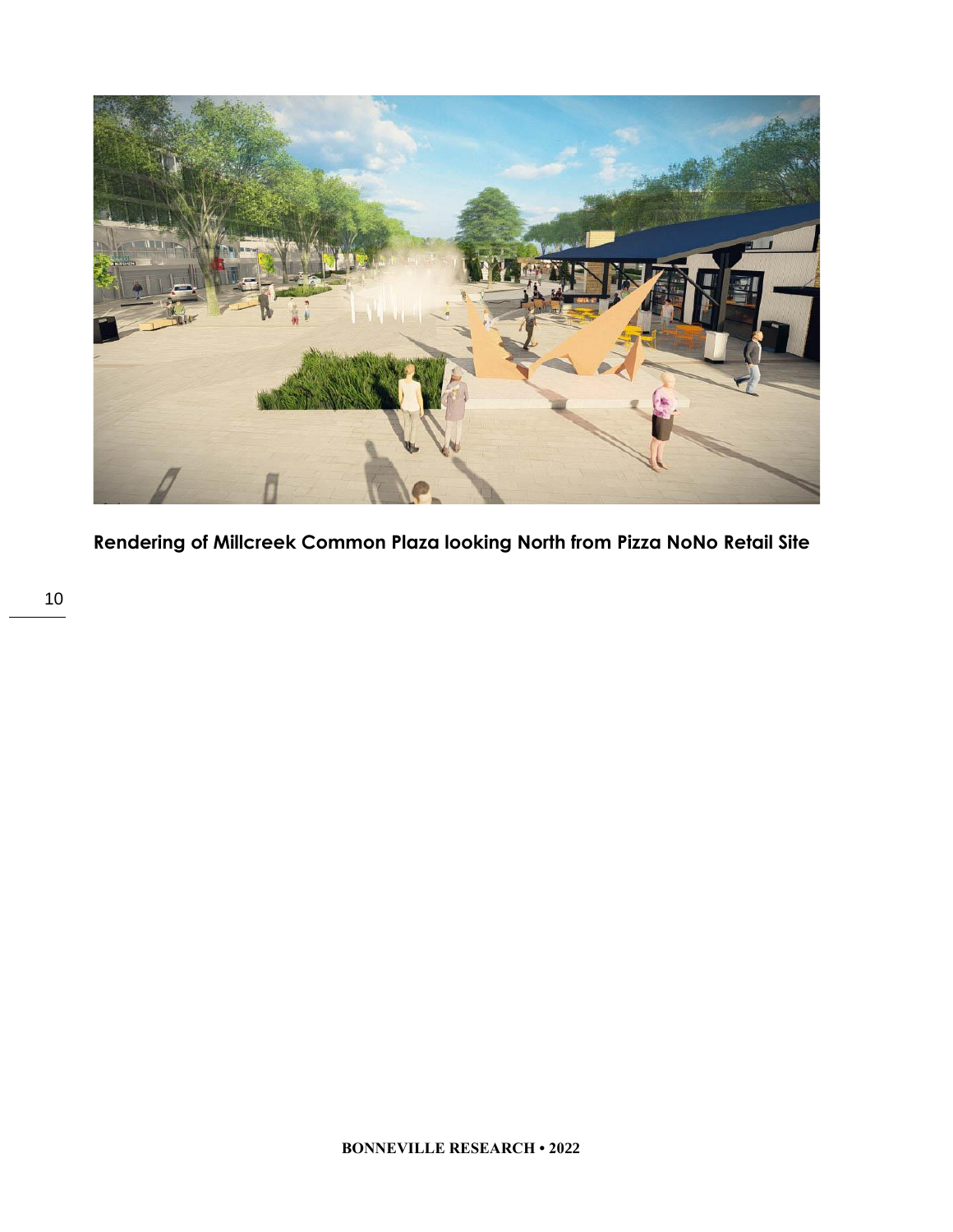

**Rendering of Millcreek Common Plaza looking North from Pizza NoNo Retail Site**